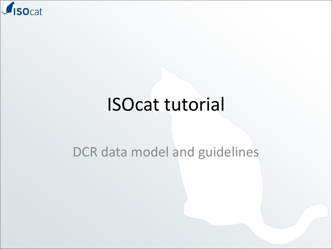

#### ISOcat tutorial

#### DCR data model and guidelines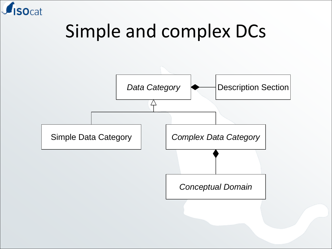

#### Simple and complex DCs

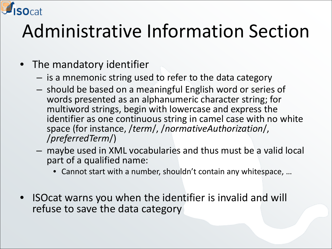

#### • The mandatory identifier

- is a mnemonic string used to refer to the data category
- should be based on a meaningful English word or series of words presented as an alphanumeric character string; for multiword strings, begin with lowercase and express the identifier as one continuous string in camel case with no white space (for instance, /*term*/, /*normativeAuthorization*/, /*preferredTerm*/)
- maybe used in XML vocabularies and thus must be a valid local part of a qualified name:
	- Cannot start with a number, shouldn't contain any whitespace, …
- ISOcat warns you when the identifier is invalid and will refuse to save the data category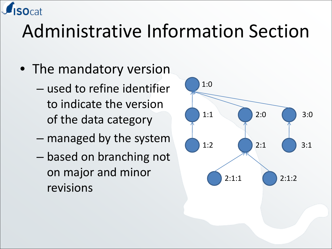

- The mandatory version
	- used to refine identifier to indicate the version of the data category
	- managed by the system
	- based on branching not on major and minor revisions

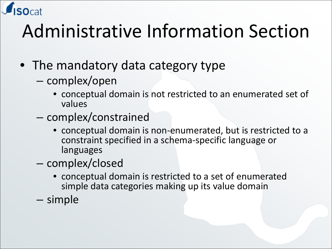

- The mandatory data category type
	- complex/open
		- conceptual domain is not restricted to an enumerated set of values
	- complex/constrained
		- conceptual domain is non-enumerated, but is restricted to a constraint specified in a schema-specific language or languages
	- complex/closed
		- conceptual domain is restricted to a set of enumerated simple data categories making up its value domain
	- simple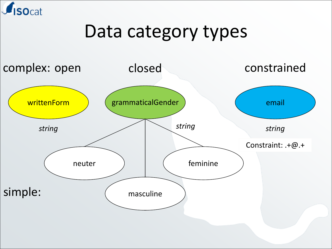

#### Data category types

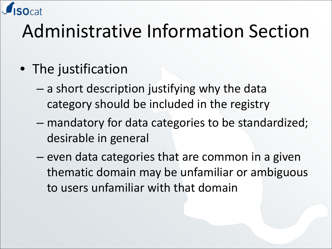- The justification
	- a short description justifying why the data category should be included in the registry
	- mandatory for data categories to be standardized; desirable in general
	- even data categories that are common in a given thematic domain may be unfamiliar or ambiguous to users unfamiliar with that domain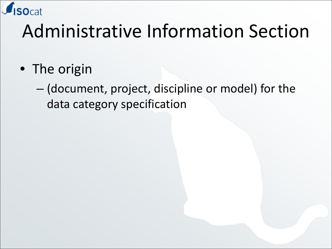

• The origin

– (document, project, discipline or model) for the data category specification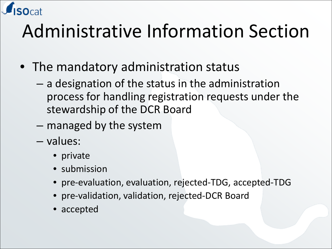

- The mandatory administration status
	- a designation of the status in the administration process for handling registration requests under the stewardship of the DCR Board
	- managed by the system
	- values:
		- private
		- submission
		- pre-evaluation, evaluation, rejected-TDG, accepted-TDG
		- pre-validation, validation, rejected-DCR Board
		- accepted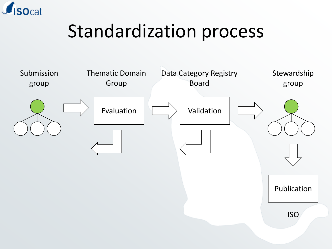

#### Standardization process

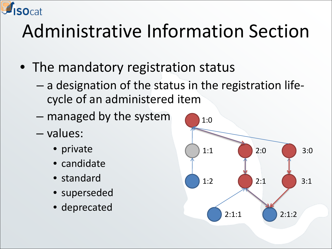

- The mandatory registration status
	- a designation of the status in the registration lifecycle of an administered item
	- managed by the system
	- values:
		- private
		- candidate
		- standard
		- superseded
		- deprecated

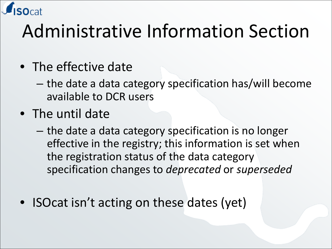

- The effective date
	- the date a data category specification has/will become available to DCR users
- The until date
	- the date a data category specification is no longer effective in the registry; this information is set when the registration status of the data category specification changes to *deprecated* or *superseded*
- ISOcat isn't acting on these dates (yet)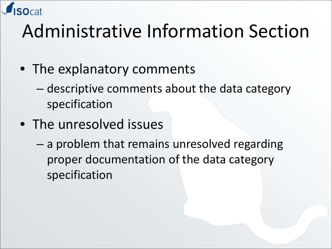

- The explanatory comments
	- descriptive comments about the data category specification
- The unresolved issues
	- a problem that remains unresolved regarding proper documentation of the data category specification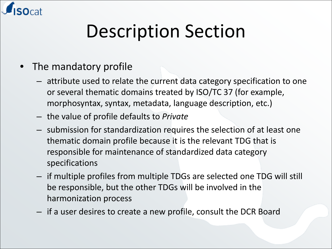

## Description Section

- The mandatory profile
	- attribute used to relate the current data category specification to one or several thematic domains treated by ISO/TC 37 (for example, morphosyntax, syntax, metadata, language description, etc.)
	- the value of profile defaults to *Private*
	- submission for standardization requires the selection of at least one thematic domain profile because it is the relevant TDG that is responsible for maintenance of standardized data category specifications
	- if multiple profiles from multiple TDGs are selected one TDG will still be responsible, but the other TDGs will be involved in the harmonization process
	- if a user desires to create a new profile, consult the DCR Board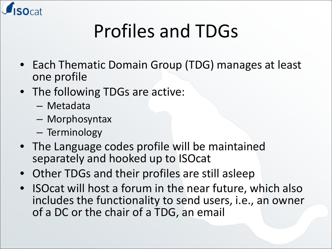

# Profiles and TDGs

- Each Thematic Domain Group (TDG) manages at least one profile
- The following TDGs are active:
	- Metadata
	- Morphosyntax
	- Terminology
- The Language codes profile will be maintained separately and hooked up to ISOcat
- Other TDGs and their profiles are still asleep
- ISOcat will host a forum in the near future, which also includes the functionality to send users, i.e., an owner of a DC or the chair of a TDG, an email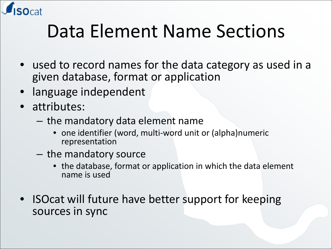

#### Data Element Name Sections

- used to record names for the data category as used in a given database, format or application
- language independent
- attributes:
	- the mandatory data element name
		- one identifier (word, multi-word unit or (alpha)numeric representation
	- the mandatory source
		- the database, format or application in which the data element name is used
- ISOcat will future have better support for keeping sources in sync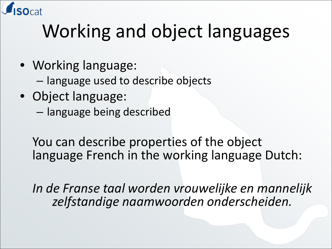

# Working and object languages

- Working language:
	- language used to describe objects
- Object language:
	- language being described

You can describe properties of the object language French in the working language Dutch:

*In de Franse taal worden vrouwelijke en mannelijk zelfstandige naamwoorden onderscheiden.*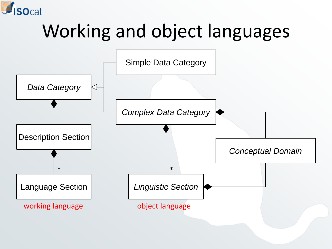

# Working and object languages

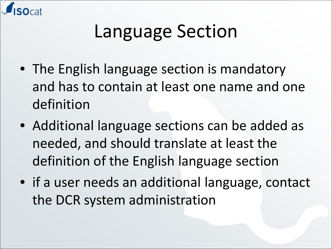

- The English language section is mandatory and has to contain at least one name and one definition
- Additional language sections can be added as needed, and should translate at least the definition of the English language section
- if a user needs an additional language, contact the DCR system administration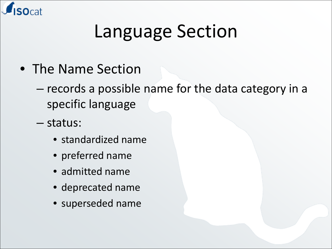

- The Name Section
	- records a possible name for the data category in a specific language
	- status:
		- standardized name
		- preferred name
		- admitted name
		- deprecated name
		- superseded name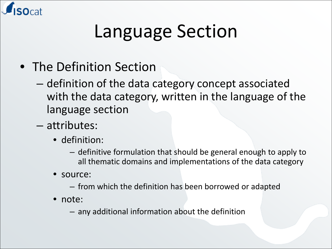

- The Definition Section
	- definition of the data category concept associated with the data category, written in the language of the language section
	- attributes:
		- definition:
			- definitive formulation that should be general enough to apply to all thematic domains and implementations of the data category
		- source:
			- from which the definition has been borrowed or adapted
		- note:
			- any additional information about the definition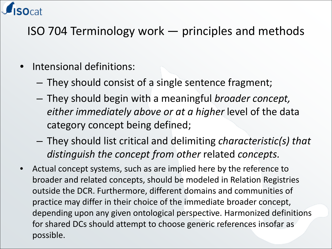

#### ISO 704 Terminology work — principles and methods

- Intensional definitions:
	- They should consist of a single sentence fragment;
	- They should begin with a meaningful *broader concept, either immediately above or at a higher* level of the data category concept being defined;
	- They should list critical and delimiting *characteristic(s) that distinguish the concept from other* related *concepts.*
- Actual concept systems, such as are implied here by the reference to broader and related concepts, should be modeled in Relation Registries outside the DCR. Furthermore, different domains and communities of practice may differ in their choice of the immediate broader concept, depending upon any given ontological perspective. Harmonized definitions for shared DCs should attempt to choose generic references insofar as possible.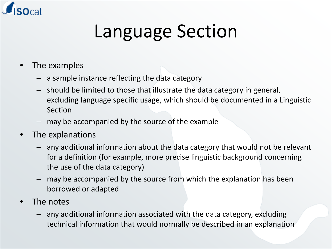

- The examples
	- a sample instance reflecting the data category
	- should be limited to those that illustrate the data category in general, excluding language specific usage, which should be documented in a Linguistic Section
	- may be accompanied by the source of the example
- The explanations
	- any additional information about the data category that would not be relevant for a definition (for example, more precise linguistic background concerning the use of the data category)
	- may be accompanied by the source from which the explanation has been borrowed or adapted
- The notes
	- any additional information associated with the data category, excluding technical information that would normally be described in an explanation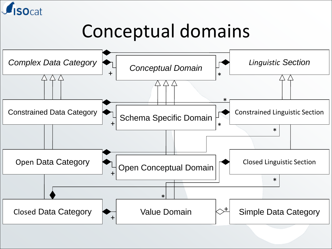

#### Conceptual domains

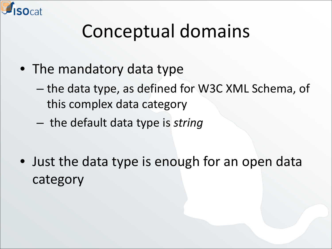

# Conceptual domains

- The mandatory data type
	- the data type, as defined for W3C XML Schema, of this complex data category
	- the default data type is *string*
- Just the data type is enough for an open data category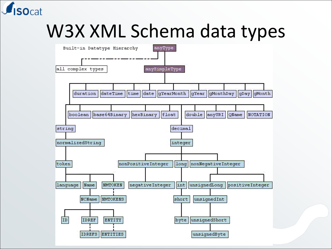

#### W3X XML Schema data types

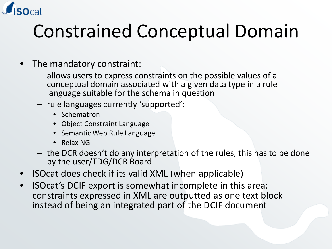

# Constrained Conceptual Domain

- The mandatory constraint:
	- allows users to express constraints on the possible values of a conceptual domain associated with a given data type in a rule language suitable for the schema in question
	- rule languages currently 'supported':
		- **Schematron**
		- Object Constraint Language
		- Semantic Web Rule Language
		- Relax NG
	- the DCR doesn't do any interpretation of the rules, this has to be done by the user/TDG/DCR Board
- ISOcat does check if its valid XML (when applicable)
- ISOcat's DCIF export is somewhat incomplete in this area: constraints expressed in XML are outputted as one text block instead of being an integrated part of the DCIF document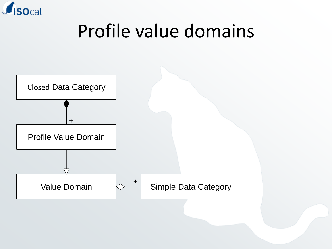

#### Profile value domains

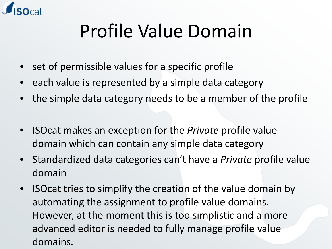

# Profile Value Domain

- set of permissible values for a specific profile
- each value is represented by a simple data category
- the simple data category needs to be a member of the profile
- ISOcat makes an exception for the *Private* profile value domain which can contain any simple data category
- Standardized data categories can't have a *Private* profile value domain
- ISOcat tries to simplify the creation of the value domain by automating the assignment to profile value domains. However, at the moment this is too simplistic and a more advanced editor is needed to fully manage profile value domains.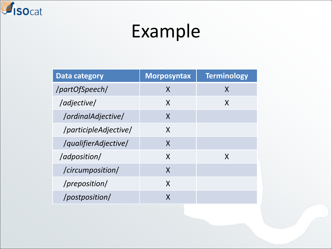

#### Example

| <b>Data category</b>  | <b>Morposyntax</b> | <b>Terminology</b> |
|-----------------------|--------------------|--------------------|
| /partOfSpeech/        | X                  | X                  |
| /adjective/           | X                  | X                  |
| /ordinalAdjective/    | X                  |                    |
| /participleAdjective/ | X                  |                    |
| /qualifierAdjective/  | X                  |                    |
| /adposition/          | X                  | X                  |
| /circumposition/      | X                  |                    |
| /preposition/         | X                  |                    |
| /postposition/        | X                  |                    |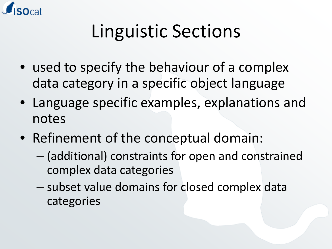

# Linguistic Sections

- used to specify the behaviour of a complex data category in a specific object language
- Language specific examples, explanations and notes
- Refinement of the conceptual domain:
	- (additional) constraints for open and constrained complex data categories
	- subset value domains for closed complex data categories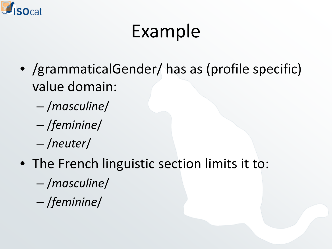

# Example

- /grammaticalGender/ has as (profile specific) value domain:
	- /*masculine*/
	- /*feminine*/
	- /*neuter*/
- The French linguistic section limits it to:
	- /*masculine*/
	- /*feminine*/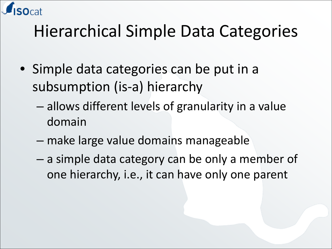

#### Hierarchical Simple Data Categories

- Simple data categories can be put in a subsumption (is-a) hierarchy
	- allows different levels of granularity in a value domain
	- make large value domains manageable
	- a simple data category can be only a member of one hierarchy, i.e., it can have only one parent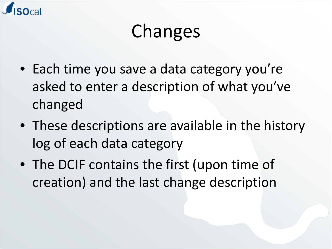

# Changes

- Each time you save a data category you're asked to enter a description of what you've changed
- These descriptions are available in the history log of each data category
- The DCIF contains the first (upon time of creation) and the last change description